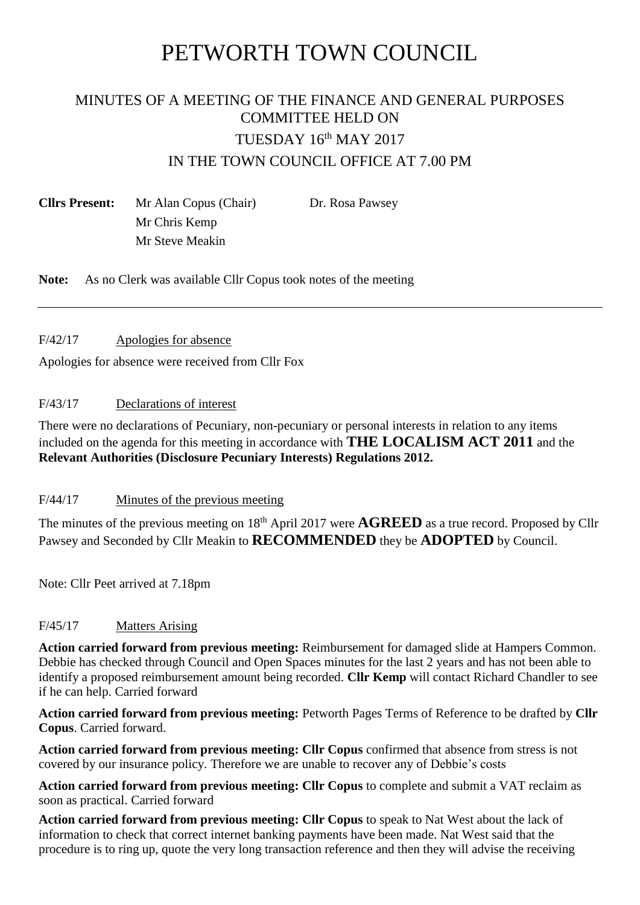# PETWORTH TOWN COUNCIL

# MINUTES OF A MEETING OF THE FINANCE AND GENERAL PURPOSES COMMITTEE HELD ON TUESDAY 16th MAY 2017 IN THE TOWN COUNCIL OFFICE AT 7.00 PM

**Cllrs Present:** Mr Alan Copus (Chair) Dr. Rosa Pawsey Mr Chris Kemp Mr Steve Meakin

**Note:** As no Clerk was available Cllr Copus took notes of the meeting

#### F/42/17 Apologies for absence

Apologies for absence were received from Cllr Fox

# F/43/17 Declarations of interest

There were no declarations of Pecuniary, non-pecuniary or personal interests in relation to any items included on the agenda for this meeting in accordance with **THE LOCALISM ACT 2011** and the **Relevant Authorities (Disclosure Pecuniary Interests) Regulations 2012.**

# F/44/17 Minutes of the previous meeting

The minutes of the previous meeting on 18<sup>th</sup> April 2017 were **AGREED** as a true record. Proposed by Cllr Pawsey and Seconded by Cllr Meakin to **RECOMMENDED** they be **ADOPTED** by Council.

Note: Cllr Peet arrived at 7.18pm

# F/45/17 Matters Arising

**Action carried forward from previous meeting:** Reimbursement for damaged slide at Hampers Common. Debbie has checked through Council and Open Spaces minutes for the last 2 years and has not been able to identify a proposed reimbursement amount being recorded. **Cllr Kemp** will contact Richard Chandler to see if he can help. Carried forward

**Action carried forward from previous meeting:** Petworth Pages Terms of Reference to be drafted by **Cllr Copus**. Carried forward.

**Action carried forward from previous meeting: Cllr Copus** confirmed that absence from stress is not covered by our insurance policy. Therefore we are unable to recover any of Debbie's costs

**Action carried forward from previous meeting: Cllr Copus** to complete and submit a VAT reclaim as soon as practical. Carried forward

**Action carried forward from previous meeting: Cllr Copus** to speak to Nat West about the lack of information to check that correct internet banking payments have been made. Nat West said that the procedure is to ring up, quote the very long transaction reference and then they will advise the receiving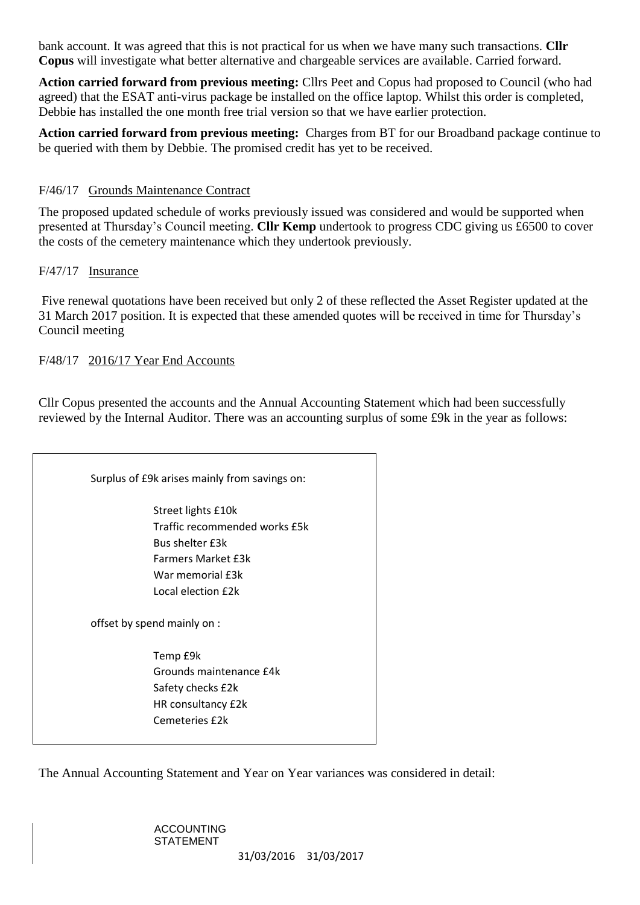bank account. It was agreed that this is not practical for us when we have many such transactions. **Cllr Copus** will investigate what better alternative and chargeable services are available. Carried forward.

**Action carried forward from previous meeting:** Cllrs Peet and Copus had proposed to Council (who had agreed) that the ESAT anti-virus package be installed on the office laptop. Whilst this order is completed, Debbie has installed the one month free trial version so that we have earlier protection.

**Action carried forward from previous meeting:** Charges from BT for our Broadband package continue to be queried with them by Debbie. The promised credit has yet to be received.

#### F/46/17 Grounds Maintenance Contract

The proposed updated schedule of works previously issued was considered and would be supported when presented at Thursday's Council meeting. **Cllr Kemp** undertook to progress CDC giving us £6500 to cover the costs of the cemetery maintenance which they undertook previously.

#### F/47/17 Insurance

Five renewal quotations have been received but only 2 of these reflected the Asset Register updated at the 31 March 2017 position. It is expected that these amended quotes will be received in time for Thursday's Council meeting

#### F/48/17 2016/17 Year End Accounts

Cllr Copus presented the accounts and the Annual Accounting Statement which had been successfully reviewed by the Internal Auditor. There was an accounting surplus of some £9k in the year as follows:

| Surplus of £9k arises mainly from savings on:                                                                                                        |
|------------------------------------------------------------------------------------------------------------------------------------------------------|
| Street lights £10k<br>Traffic recommended works £5k<br><b>Bus shelter f3k</b><br><b>Farmers Market £3k</b><br>War memorial £3k<br>Local election £2k |
| offset by spend mainly on :                                                                                                                          |
| Temp £9k<br>Grounds maintenance £4k<br>Safety checks £2k<br>HR consultancy £2k<br>Cemeteries £2k                                                     |

The Annual Accounting Statement and Year on Year variances was considered in detail:

# ACCOUNTING STATEMENT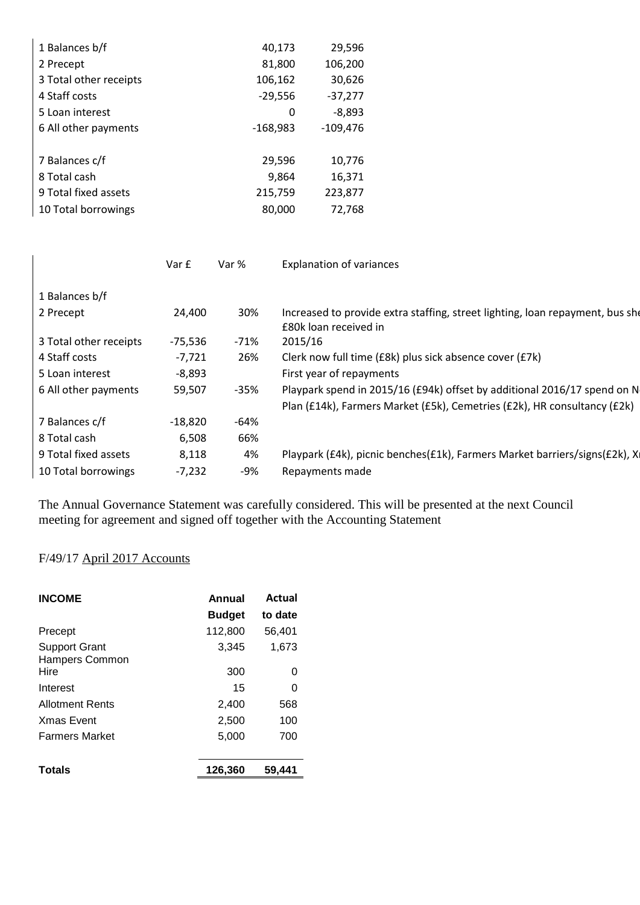| 1 Balances b/f         | 40,173     | 29,596     |
|------------------------|------------|------------|
| 2 Precept              | 81,800     | 106,200    |
| 3 Total other receipts | 106,162    | 30,626     |
| 4 Staff costs          | $-29,556$  | $-37,277$  |
| 5 Loan interest        | 0          | $-8,893$   |
| 6 All other payments   | $-168,983$ | $-109,476$ |
|                        |            |            |
| 7 Balances c/f         | 29,596     | 10,776     |
| 8 Total cash           | 9,864      | 16,371     |
| 9 Total fixed assets   | 215,759    | 223,877    |
| 10 Total borrowings    | 80,000     | 72,768     |

|                        | Var £     | Var %  | <b>Explanation of variances</b>                                                                        |
|------------------------|-----------|--------|--------------------------------------------------------------------------------------------------------|
| 1 Balances b/f         |           |        |                                                                                                        |
| 2 Precept              | 24,400    | 30%    | Increased to provide extra staffing, street lighting, loan repayment, bus she<br>£80k loan received in |
| 3 Total other receipts | -75,536   | -71%   | 2015/16                                                                                                |
| 4 Staff costs          | $-7,721$  | 26%    | Clerk now full time (£8k) plus sick absence cover (£7k)                                                |
| 5 Loan interest        | $-8,893$  |        | First year of repayments                                                                               |
| 6 All other payments   | 59,507    | $-35%$ | Playpark spend in 2015/16 (£94k) offset by additional 2016/17 spend on N                               |
|                        |           |        | Plan (£14k), Farmers Market (£5k), Cemetries (£2k), HR consultancy (£2k)                               |
| 7 Balances c/f         | $-18,820$ | -64%   |                                                                                                        |
| 8 Total cash           | 6,508     | 66%    |                                                                                                        |
| 9 Total fixed assets   | 8,118     | 4%     | Playpark (£4k), picnic benches(£1k), Farmers Market barriers/signs(£2k), X                             |
| 10 Total borrowings    | $-7,232$  | -9%    | Repayments made                                                                                        |

The Annual Governance Statement was carefully considered. This will be presented at the next Council meeting for agreement and signed off together with the Accounting Statement

# F/49/17 April 2017 Accounts

| <b>INCOME</b>                                 | Annual        | Actual  |  |
|-----------------------------------------------|---------------|---------|--|
|                                               | <b>Budget</b> | to date |  |
| Precept                                       | 112,800       | 56,401  |  |
| <b>Support Grant</b><br><b>Hampers Common</b> | 3,345         | 1,673   |  |
| Hire                                          | 300           | O       |  |
| Interest                                      | 15            | O       |  |
| <b>Allotment Rents</b>                        | 2,400         | 568     |  |
| <b>Xmas Event</b>                             | 2,500         | 100     |  |
| <b>Farmers Market</b>                         | 5,000         | 700     |  |
| <b>Totals</b>                                 | 126.360       | 59.441  |  |
|                                               |               |         |  |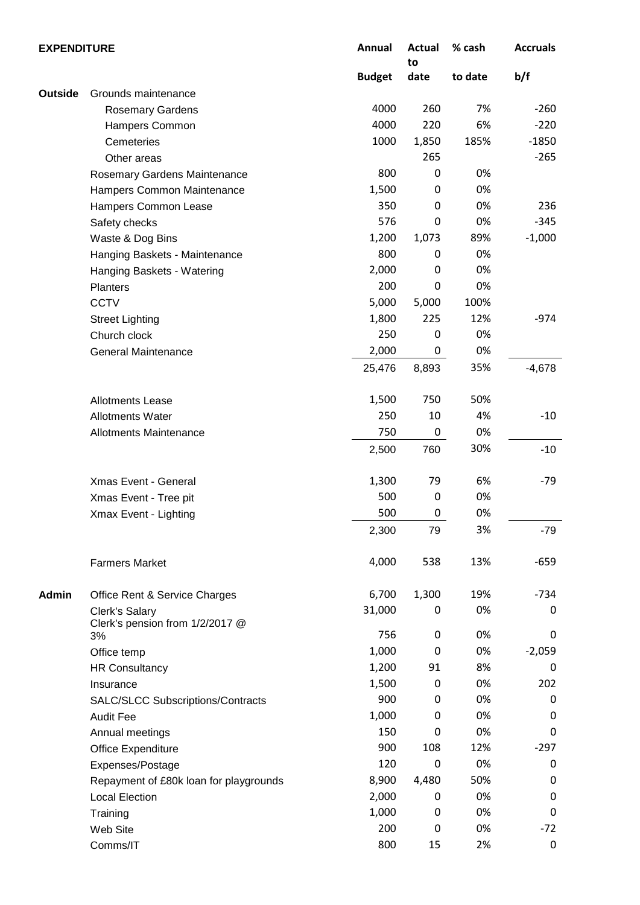| <b>EXPENDITURE</b> |                                          |               | Actual<br>to | % cash  | <b>Accruals</b> |
|--------------------|------------------------------------------|---------------|--------------|---------|-----------------|
|                    |                                          | <b>Budget</b> | date         | to date | b/f             |
| <b>Outside</b>     | Grounds maintenance                      |               |              |         |                 |
|                    | <b>Rosemary Gardens</b>                  | 4000          | 260          | 7%      | $-260$          |
|                    | Hampers Common                           | 4000          | 220          | 6%      | $-220$          |
|                    | Cemeteries                               | 1000          | 1,850        | 185%    | $-1850$         |
|                    | Other areas                              |               | 265          |         | $-265$          |
|                    | Rosemary Gardens Maintenance             | 800           | 0            | 0%      |                 |
|                    | Hampers Common Maintenance               | 1,500         | 0            | 0%      |                 |
|                    | Hampers Common Lease                     | 350           | 0            | 0%      | 236             |
|                    | Safety checks                            | 576           | 0            | 0%      | $-345$          |
|                    | Waste & Dog Bins                         | 1,200         | 1,073        | 89%     | $-1,000$        |
|                    | Hanging Baskets - Maintenance            | 800           | 0            | 0%      |                 |
|                    | Hanging Baskets - Watering               | 2,000         | 0            | 0%      |                 |
|                    | Planters                                 | 200           | 0            | 0%      |                 |
|                    | <b>CCTV</b>                              | 5,000         | 5,000        | 100%    |                 |
|                    | <b>Street Lighting</b>                   | 1,800         | 225          | 12%     | $-974$          |
|                    | Church clock                             | 250           | 0            | 0%      |                 |
|                    | <b>General Maintenance</b>               | 2,000         | 0            | 0%      |                 |
|                    |                                          |               |              | 35%     | $-4,678$        |
|                    |                                          | 25,476        | 8,893        |         |                 |
|                    | <b>Allotments Lease</b>                  | 1,500         | 750          | 50%     |                 |
|                    | <b>Allotments Water</b>                  | 250           | 10           | 4%      | $-10$           |
|                    | <b>Allotments Maintenance</b>            | 750           | 0            | 0%      |                 |
|                    |                                          | 2,500         | 760          | 30%     | $-10$           |
|                    | <b>Xmas Event - General</b>              | 1,300         | 79           | 6%      | -79             |
|                    | Xmas Event - Tree pit                    | 500           | $\mathbf 0$  | 0%      |                 |
|                    | Xmax Event - Lighting                    | 500           | $\mathbf 0$  | 0%      |                 |
|                    |                                          | 2,300         | 79           | 3%      | $-79$           |
|                    | <b>Farmers Market</b>                    | 4,000         | 538          | 13%     | $-659$          |
|                    |                                          |               |              |         |                 |
| <b>Admin</b>       | Office Rent & Service Charges            | 6,700         | 1,300        | 19%     | $-734$          |
|                    | Clerk's Salary                           | 31,000        | 0            | 0%      | 0               |
|                    | Clerk's pension from 1/2/2017 @<br>3%    | 756           | 0            | 0%      | 0               |
|                    |                                          | 1,000         | 0            | 0%      | $-2,059$        |
|                    | Office temp                              | 1,200         | 91           | 8%      | 0               |
|                    | <b>HR Consultancy</b>                    | 1,500         | 0            | 0%      | 202             |
|                    | Insurance                                |               |              |         |                 |
|                    | <b>SALC/SLCC Subscriptions/Contracts</b> | 900           | 0            | 0%      | 0               |
|                    | <b>Audit Fee</b>                         | 1,000         | 0            | 0%      | 0               |
|                    | Annual meetings                          | 150           | 0            | 0%      | 0               |
|                    | Office Expenditure                       | 900           | 108          | 12%     | $-297$          |
|                    | Expenses/Postage                         | 120           | 0            | 0%      | 0               |
|                    | Repayment of £80k loan for playgrounds   | 8,900         | 4,480        | 50%     | 0               |
|                    | <b>Local Election</b>                    | 2,000         | 0            | 0%      | 0               |
|                    | Training                                 | 1,000         | 0            | 0%      | 0               |
|                    | Web Site                                 | 200           | 0            | 0%      | $-72$           |
|                    | Comms/IT                                 | 800           | 15           | 2%      | $\pmb{0}$       |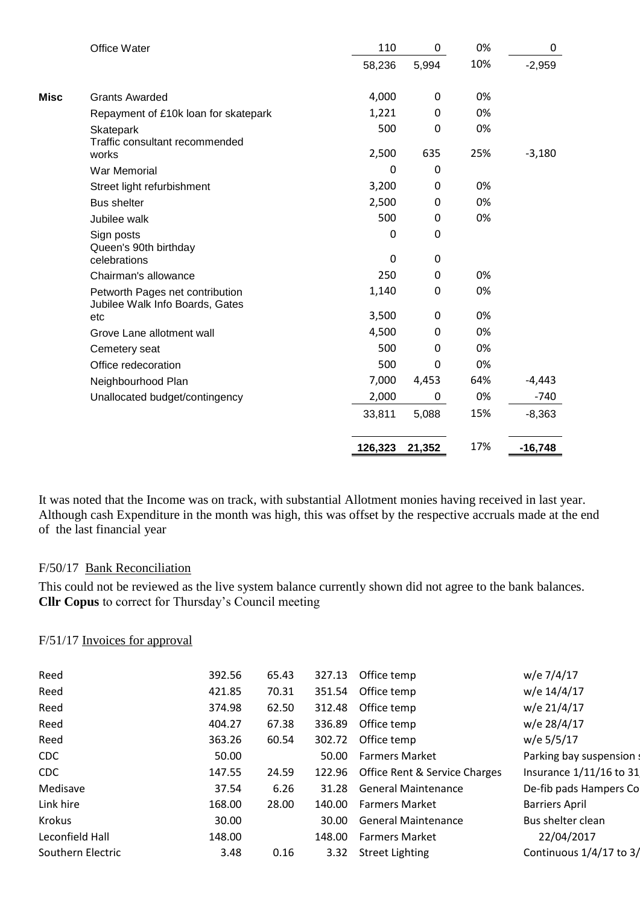|             | Office Water                                                       | 110      | $\mathbf 0$ | 0%  | 0         |
|-------------|--------------------------------------------------------------------|----------|-------------|-----|-----------|
|             |                                                                    | 58,236   | 5,994       | 10% | $-2,959$  |
| <b>Misc</b> | <b>Grants Awarded</b>                                              | 4,000    | 0           | 0%  |           |
|             | Repayment of £10k loan for skatepark                               | 1,221    | 0           | 0%  |           |
|             | Skatepark<br>Traffic consultant recommended                        | 500      | 0           | 0%  |           |
|             | works                                                              | 2,500    | 635         | 25% | $-3,180$  |
|             | War Memorial                                                       | $\Omega$ | 0           |     |           |
|             | Street light refurbishment                                         | 3,200    | 0           | 0%  |           |
|             | <b>Bus shelter</b>                                                 | 2,500    | 0           | 0%  |           |
|             | Jubilee walk                                                       | 500      | 0           | 0%  |           |
|             | Sign posts<br>Queen's 90th birthday                                | $\Omega$ | $\mathbf 0$ |     |           |
|             | celebrations                                                       | $\Omega$ | 0           |     |           |
|             | Chairman's allowance                                               | 250      | 0           | 0%  |           |
|             | Petworth Pages net contribution<br>Jubilee Walk Info Boards, Gates | 1,140    | $\Omega$    | 0%  |           |
|             | etc                                                                | 3,500    | 0           | 0%  |           |
|             | Grove Lane allotment wall                                          | 4,500    | 0           | 0%  |           |
|             | Cemetery seat                                                      | 500      | 0           | 0%  |           |
|             | Office redecoration                                                | 500      | $\Omega$    | 0%  |           |
|             | Neighbourhood Plan                                                 | 7,000    | 4,453       | 64% | $-4,443$  |
|             | Unallocated budget/contingency                                     | 2,000    | 0           | 0%  | $-740$    |
|             |                                                                    | 33,811   | 5,088       | 15% | $-8,363$  |
|             |                                                                    | 126,323  | 21,352      | 17% | $-16,748$ |

It was noted that the Income was on track, with substantial Allotment monies having received in last year. Although cash Expenditure in the month was high, this was offset by the respective accruals made at the end of the last financial year

#### F/50/17 Bank Reconciliation

This could not be reviewed as the live system balance currently shown did not agree to the bank balances. **Cllr Copus** to correct for Thursday's Council meeting

#### F/51/17 Invoices for approval

| Reed              | 392.56 | 65.43 | 327.13 | Office temp                          | w/e 7/4/17                |
|-------------------|--------|-------|--------|--------------------------------------|---------------------------|
| Reed              | 421.85 | 70.31 | 351.54 | Office temp                          | w/e 14/4/17               |
| Reed              | 374.98 | 62.50 | 312.48 | Office temp                          | w/e 21/4/17               |
| Reed              | 404.27 | 67.38 | 336.89 | Office temp                          | w/e 28/4/17               |
| Reed              | 363.26 | 60.54 | 302.72 | Office temp                          | w/e 5/5/17                |
| CDC               | 50.00  |       | 50.00  | <b>Farmers Market</b>                | Parking bay suspension s  |
| <b>CDC</b>        | 147.55 | 24.59 |        | 122.96 Office Rent & Service Charges | Insurance 1/11/16 to 31   |
| Medisave          | 37.54  | 6.26  | 31.28  | <b>General Maintenance</b>           | De-fib pads Hampers Co    |
| Link hire         | 168.00 | 28.00 | 140.00 | <b>Farmers Market</b>                | <b>Barriers April</b>     |
| Krokus            | 30.00  |       | 30.00  | <b>General Maintenance</b>           | Bus shelter clean         |
| Leconfield Hall   | 148.00 |       | 148.00 | <b>Farmers Market</b>                | 22/04/2017                |
| Southern Electric | 3.48   | 0.16  | 3.32   | <b>Street Lighting</b>               | Continuous $1/4/17$ to 3/ |
|                   |        |       |        |                                      |                           |